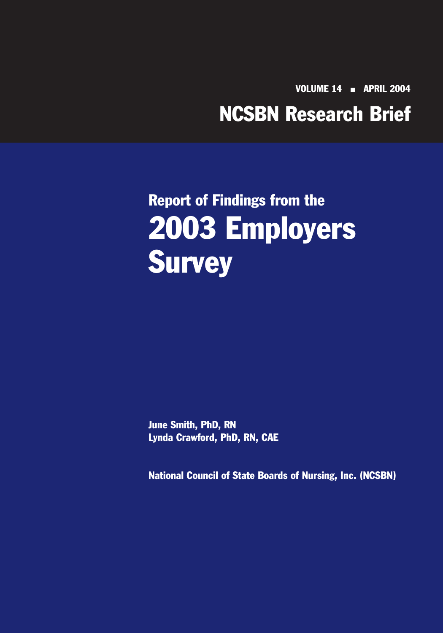VOLUME 14 ■ APRIL 2004

# NCSBN Research Brief

Report of Findings from the 2003 Employers **Survey** 

June Smith, PhD, RN Lynda Crawford, PhD, RN, CAE

National Council of State Boards of Nursing, Inc. (NCSBN)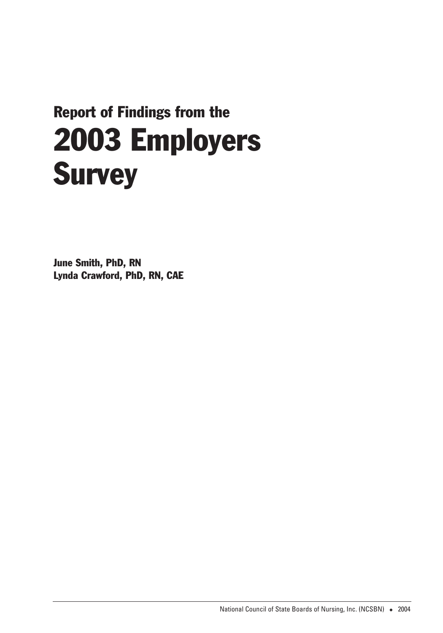# Report of Findings from the 2003 Employers **Survey**

June Smith, PhD, RN Lynda Crawford, PhD, RN, CAE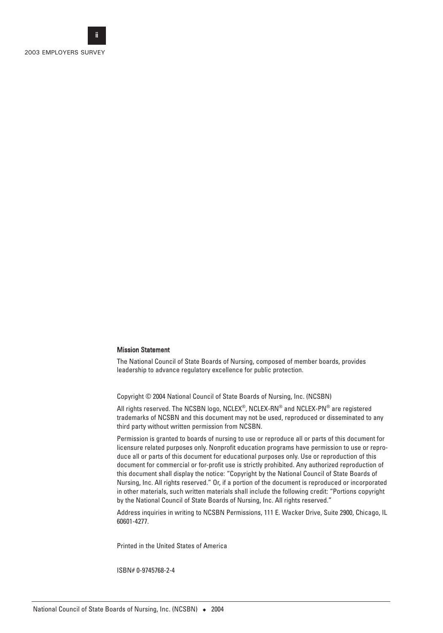

ii

#### Mission Statement

The National Council of State Boards of Nursing, composed of member boards, provides leadership to advance regulatory excellence for public protection.

Copyright © 2004 National Council of State Boards of Nursing, Inc. (NCSBN)

All rights reserved. The NCSBN logo, NCLEX®, NCLEX-RN® and NCLEX-PN® are registered trademarks of NCSBN and this document may not be used, reproduced or disseminated to any third party without written permission from NCSBN.

Permission is granted to boards of nursing to use or reproduce all or parts of this document for licensure related purposes only. Nonprofit education programs have permission to use or reproduce all or parts of this document for educational purposes only. Use or reproduction of this document for commercial or for-profit use is strictly prohibited. Any authorized reproduction of this document shall display the notice: "Copyright by the National Council of State Boards of Nursing, Inc. All rights reserved." Or, if a portion of the document is reproduced or incorporated in other materials, such written materials shall include the following credit: "Portions copyright by the National Council of State Boards of Nursing, Inc. All rights reserved."

Address inquiries in writing to NCSBN Permissions, 111 E. Wacker Drive, Suite 2900, Chicago, IL 60601-4277.

Printed in the United States of America

ISBN# 0-9745768-2-4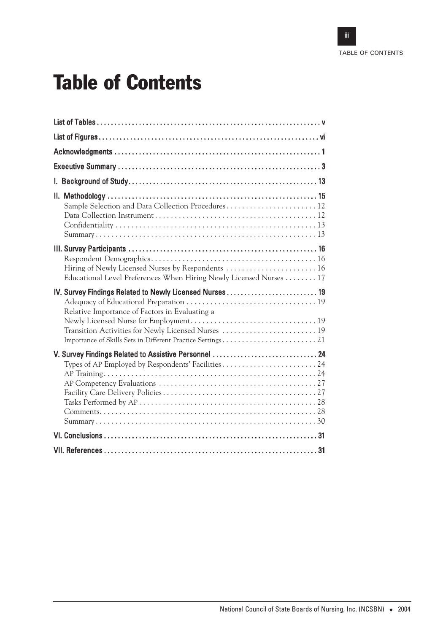

# Table of Contents

| Sample Selection and Data Collection Procedures 12                                                                                                               |  |
|------------------------------------------------------------------------------------------------------------------------------------------------------------------|--|
| Hiring of Newly Licensed Nurses by Respondents  16<br>Educational Level Preferences When Hiring Newly Licensed Nurses 17                                         |  |
|                                                                                                                                                                  |  |
| IV. Survey Findings Related to Newly Licensed Nurses 19<br>Relative Importance of Factors in Evaluating a<br>Transition Activities for Newly Licensed Nurses  19 |  |
| V. Survey Findings Related to Assistive Personnel  24                                                                                                            |  |
|                                                                                                                                                                  |  |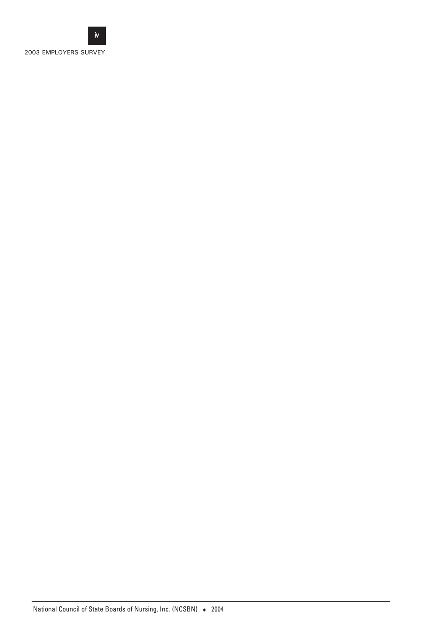

iv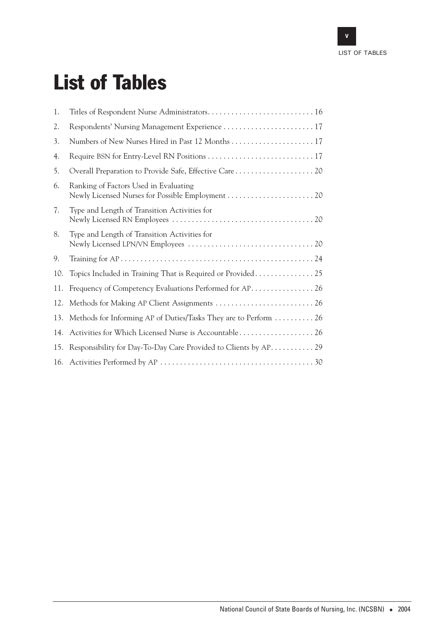

# List of Tables

| 1.  | Titles of Respondent Nurse Administrators 16                     |
|-----|------------------------------------------------------------------|
| 2.  |                                                                  |
| 3.  |                                                                  |
| 4.  | Require BSN for Entry-Level RN Positions  17                     |
| 5.  | Overall Preparation to Provide Safe, Effective Care20            |
| 6.  | Ranking of Factors Used in Evaluating                            |
| 7.  | Type and Length of Transition Activities for                     |
| 8.  | Type and Length of Transition Activities for                     |
| 9.  |                                                                  |
| 10. |                                                                  |
| 11. | Frequency of Competency Evaluations Performed for AP 26          |
| 12. |                                                                  |
| 13. | Methods for Informing AP of Duties/Tasks They are to Perform  26 |
| 14. |                                                                  |
| 15. | Responsibility for Day-To-Day Care Provided to Clients by AP 29  |
|     |                                                                  |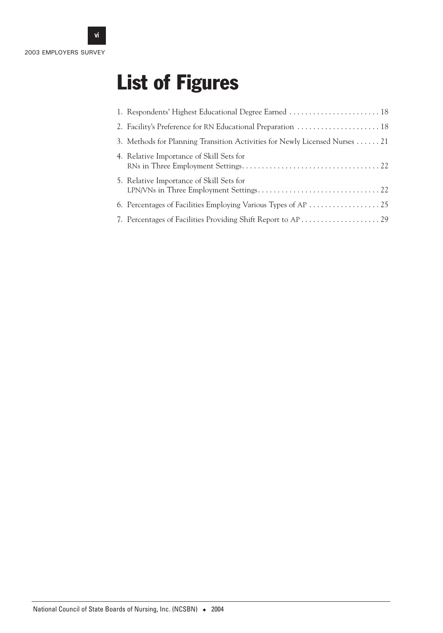vi

# List of Figures

| 1. Respondents' Highest Educational Degree Earned  18                       |
|-----------------------------------------------------------------------------|
|                                                                             |
| 3. Methods for Planning Transition Activities for Newly Licensed Nurses  21 |
| 4. Relative Importance of Skill Sets for                                    |
| 5. Relative Importance of Skill Sets for                                    |
| 6. Percentages of Facilities Employing Various Types of AP  25              |
|                                                                             |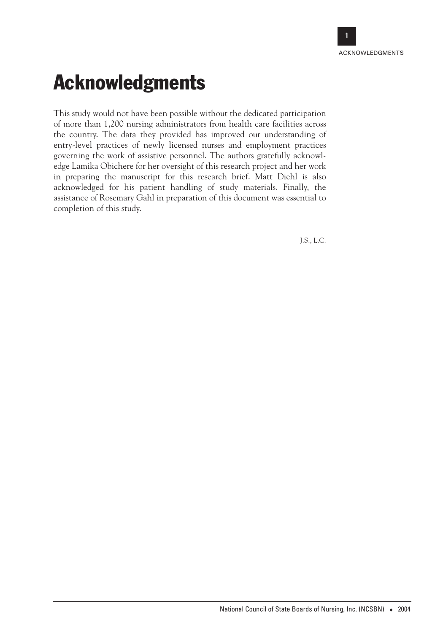

# Acknowledgments

This study would not have been possible without the dedicated participation of more than 1,200 nursing administrators from health care facilities across the country. The data they provided has improved our understanding of entry-level practices of newly licensed nurses and employment practices governing the work of assistive personnel. The authors gratefully acknowledge Lamika Obichere for her oversight of this research project and her work in preparing the manuscript for this research brief. Matt Diehl is also acknowledged for his patient handling of study materials. Finally, the assistance of Rosemary Gahl in preparation of this document was essential to completion of this study.

J.S., L.C.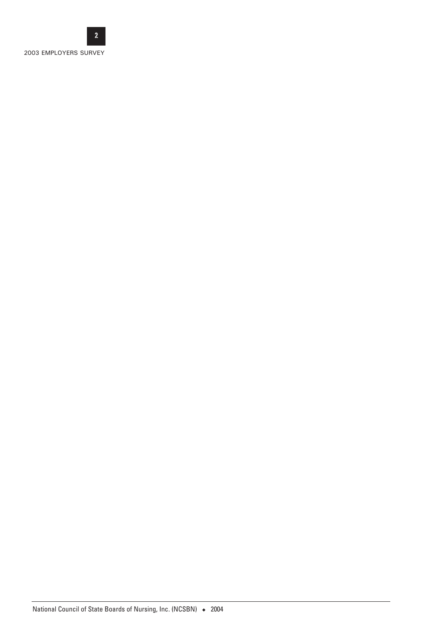2003 EMPLOYERS SURVEY

2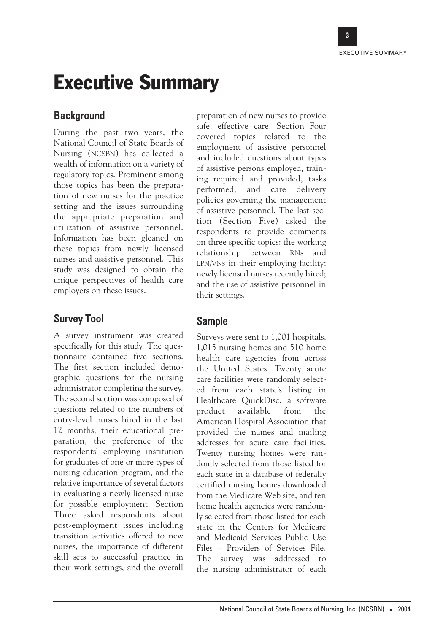

# Executive Summary

### **Background**

During the past two years, the National Council of State Boards of Nursing (NCSBN) has collected a wealth of information on a variety of regulatory topics. Prominent among those topics has been the preparation of new nurses for the practice setting and the issues surrounding the appropriate preparation and utilization of assistive personnel. Information has been gleaned on these topics from newly licensed nurses and assistive personnel. This study was designed to obtain the unique perspectives of health care employers on these issues.

### Survey Tool

A survey instrument was created specifically for this study. The questionnaire contained five sections. The first section included demographic questions for the nursing administrator completing the survey. The second section was composed of questions related to the numbers of entry-level nurses hired in the last 12 months, their educational preparation, the preference of the respondents' employing institution for graduates of one or more types of nursing education program, and the relative importance of several factors in evaluating a newly licensed nurse for possible employment. Section Three asked respondents about post-employment issues including transition activities offered to new nurses, the importance of different skill sets to successful practice in their work settings, and the overall

preparation of new nurses to provide safe, effective care. Section Four covered topics related to the employment of assistive personnel and included questions about types of assistive persons employed, training required and provided, tasks performed, and care delivery policies governing the management of assistive personnel. The last section (Section Five) asked the respondents to provide comments on three specific topics: the working relationship between RNs and LPN/VNs in their employing facility; newly licensed nurses recently hired; and the use of assistive personnel in their settings.

### Sample

Surveys were sent to 1,001 hospitals, 1,015 nursing homes and 510 home health care agencies from across the United States. Twenty acute care facilities were randomly selected from each state's listing in Healthcare QuickDisc, a software product available from the American Hospital Association that provided the names and mailing addresses for acute care facilities. Twenty nursing homes were randomly selected from those listed for each state in a database of federally certified nursing homes downloaded from the Medicare Web site, and ten home health agencies were randomly selected from those listed for each state in the Centers for Medicare and Medicaid Services Public Use Files – Providers of Services File. The survey was addressed to the nursing administrator of each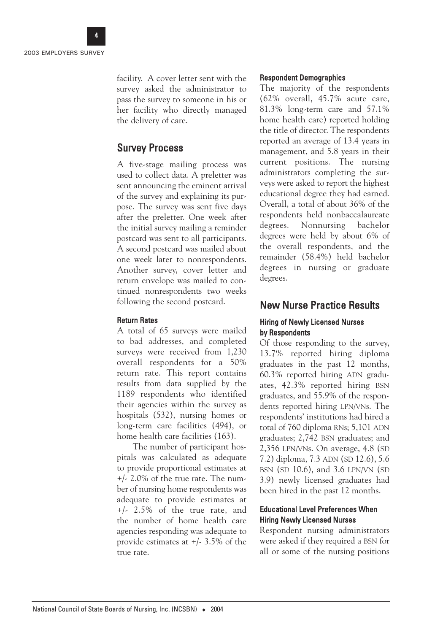facility. A cover letter sent with the survey asked the administrator to pass the survey to someone in his or her facility who directly managed the delivery of care.

### Survey Process

A five-stage mailing process was used to collect data. A preletter was sent announcing the eminent arrival of the survey and explaining its purpose. The survey was sent five days after the preletter. One week after the initial survey mailing a reminder postcard was sent to all participants. A second postcard was mailed about one week later to nonrespondents. Another survey, cover letter and return envelope was mailed to continued nonrespondents two weeks following the second postcard.

#### Return Rates

A total of 65 surveys were mailed to bad addresses, and completed surveys were received from 1,230 overall respondents for a 50% return rate. This report contains results from data supplied by the 1189 respondents who identified their agencies within the survey as hospitals (532), nursing homes or long-term care facilities (494), or home health care facilities (163).

The number of participant hospitals was calculated as adequate to provide proportional estimates at +/- 2.0% of the true rate. The number of nursing home respondents was adequate to provide estimates at +/- 2.5% of the true rate, and the number of home health care agencies responding was adequate to provide estimates at  $+/- 3.5\%$  of the true rate.

#### Respondent Demographics

The majority of the respondents (62% overall, 45.7% acute care, 81.3% long-term care and 57.1% home health care) reported holding the title of director. The respondents reported an average of 13.4 years in management, and 5.8 years in their current positions. The nursing administrators completing the surveys were asked to report the highest educational degree they had earned. Overall, a total of about 36% of the respondents held nonbaccalaureate degrees. Nonnursing bachelor degrees were held by about 6% of the overall respondents, and the remainder (58.4%) held bachelor degrees in nursing or graduate degrees.

### New Nurse Practice Results

### Hiring of Newly Licensed Nurses by Respondents

Of those responding to the survey, 13.7% reported hiring diploma graduates in the past 12 months, 60.3% reported hiring ADN graduates, 42.3% reported hiring BSN graduates, and 55.9% of the respondents reported hiring LPN/VNs. The respondents' institutions had hired a total of 760 diploma RNs; 5,101 ADN graduates; 2,742 BSN graduates; and 2,356 LPN/VNs. On average, 4.8 (SD 7.2) diploma, 7.3 ADN (SD 12.6), 5.6 BSN (SD 10.6), and 3.6 LPN/VN (SD 3.9) newly licensed graduates had been hired in the past 12 months.

### Educational Level Preferences When Hiring Newly Licensed Nurses

Respondent nursing administrators were asked if they required a BSN for all or some of the nursing positions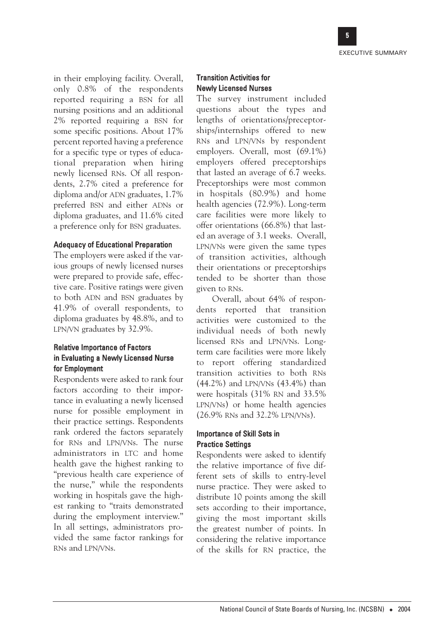

in their employing facility. Overall, only 0.8% of the respondents reported requiring a BSN for all nursing positions and an additional 2% reported requiring a BSN for some specific positions. About 17% percent reported having a preference for a specific type or types of educational preparation when hiring newly licensed RNs. Of all respondents, 2.7% cited a preference for diploma and/or ADN graduates, 1.7% preferred BSN and either ADNs or diploma graduates, and 11.6% cited a preference only for BSN graduates.

#### Adequacy of Educational Preparation

The employers were asked if the various groups of newly licensed nurses were prepared to provide safe, effective care. Positive ratings were given to both ADN and BSN graduates by 41.9% of overall respondents, to diploma graduates by 48.8%, and to LPN/VN graduates by 32.9%.

### Relative Importance of Factors in Evaluating a Newly Licensed Nurse for Employment

Respondents were asked to rank four factors according to their importance in evaluating a newly licensed nurse for possible employment in their practice settings. Respondents rank ordered the factors separately for RNs and LPN/VNs. The nurse administrators in LTC and home health gave the highest ranking to "previous health care experience of the nurse," while the respondents working in hospitals gave the highest ranking to "traits demonstrated during the employment interview." In all settings, administrators provided the same factor rankings for RNs and LPN/VNs.

### Transition Activities for Newly Licensed Nurses

The survey instrument included questions about the types and lengths of orientations/preceptorships/internships offered to new RNs and LPN/VNs by respondent employers. Overall, most (69.1%) employers offered preceptorships that lasted an average of 6.7 weeks. Preceptorships were most common in hospitals (80.9%) and home health agencies (72.9%). Long-term care facilities were more likely to offer orientations (66.8%) that lasted an average of 3.1 weeks. Overall, LPN/VNs were given the same types of transition activities, although their orientations or preceptorships tended to be shorter than those given to RNs.

Overall, about 64% of respondents reported that transition activities were customized to the individual needs of both newly licensed RNs and LPN/VNs. Longterm care facilities were more likely to report offering standardized transition activities to both RNs (44.2%) and LPN/VNs (43.4%) than were hospitals (31% RN and 33.5% LPN/VNs) or home health agencies (26.9% RNs and 32.2% LPN/VNs).

### Importance of Skill Sets in Practice Settings

Respondents were asked to identify the relative importance of five different sets of skills to entry-level nurse practice. They were asked to distribute 10 points among the skill sets according to their importance, giving the most important skills the greatest number of points. In considering the relative importance of the skills for RN practice, the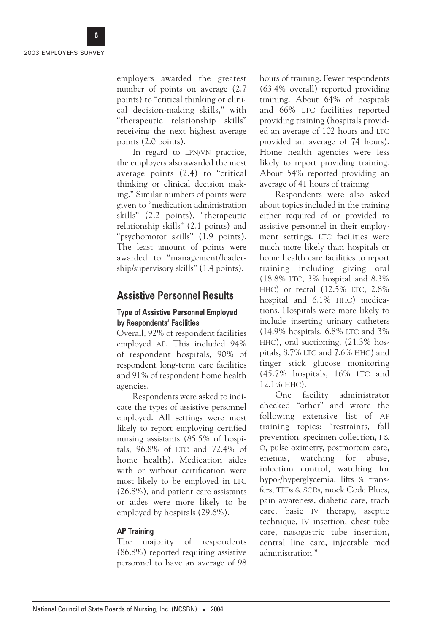employers awarded the greatest number of points on average (2.7 points) to "critical thinking or clinical decision-making skills," with "therapeutic relationship skills" receiving the next highest average points (2.0 points).

In regard to LPN/VN practice, the employers also awarded the most average points (2.4) to "critical thinking or clinical decision making." Similar numbers of points were given to "medication administration skills" (2.2 points), "therapeutic relationship skills" (2.1 points) and "psychomotor skills" (1.9 points). The least amount of points were awarded to "management/leadership/supervisory skills" (1.4 points).

### Assistive Personnel Results

#### Type of Assistive Personnel Employed by Respondents' Facilities

Overall, 92% of respondent facilities employed AP. This included 94% of respondent hospitals, 90% of respondent long-term care facilities and 91% of respondent home health agencies.

Respondents were asked to indicate the types of assistive personnel employed. All settings were most likely to report employing certified nursing assistants (85.5% of hospitals, 96.8% of LTC and 72.4% of home health). Medication aides with or without certification were most likely to be employed in LTC (26.8%), and patient care assistants or aides were more likely to be employed by hospitals (29.6%).

#### AP Training

The majority of respondents (86.8%) reported requiring assistive personnel to have an average of 98

hours of training. Fewer respondents (63.4% overall) reported providing training. About 64% of hospitals and 66% LTC facilities reported providing training (hospitals provided an average of 102 hours and LTC provided an average of 74 hours). Home health agencies were less likely to report providing training. About 54% reported providing an average of 41 hours of training.

Respondents were also asked about topics included in the training either required of or provided to assistive personnel in their employment settings. LTC facilities were much more likely than hospitals or home health care facilities to report training including giving oral (18.8% LTC, 3% hospital and 8.3% HHC) or rectal (12.5% LTC, 2.8% hospital and 6.1% HHC) medications. Hospitals were more likely to include inserting urinary catheters (14.9% hospitals, 6.8% LTC and 3% HHC), oral suctioning, (21.3% hospitals, 8.7% LTC and 7.6% HHC) and finger stick glucose monitoring (45.7% hospitals, 16% LTC and 12.1% HHC).

One facility administrator checked "other" and wrote the following extensive list of AP training topics: "restraints, fall prevention, specimen collection, I & O, pulse oximetry, postmortem care, enemas, watching for abuse, infection control, watching for hypo-/hyperglycemia, lifts & transfers, TEDs & SCDs, mock Code Blues, pain awareness, diabetic care, trach care, basic IV therapy, aseptic technique, IV insertion, chest tube care, nasogastric tube insertion, central line care, injectable med administration."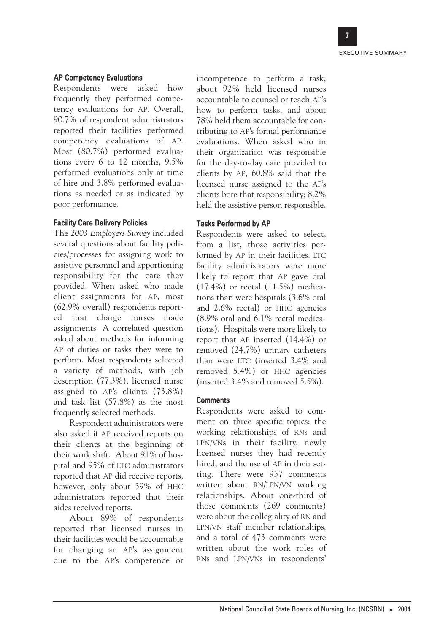#### AP Competency Evaluations

Respondents were asked how frequently they performed competency evaluations for AP. Overall, 90.7% of respondent administrators reported their facilities performed competency evaluations of AP. Most (80.7%) performed evaluations every 6 to 12 months, 9.5% performed evaluations only at time of hire and 3.8% performed evaluations as needed or as indicated by poor performance.

#### Facility Care Delivery Policies

The *2003 Employers Survey* included several questions about facility policies/processes for assigning work to assistive personnel and apportioning responsibility for the care they provided. When asked who made client assignments for AP, most (62.9% overall) respondents reported that charge nurses made assignments. A correlated question asked about methods for informing AP of duties or tasks they were to perform. Most respondents selected a variety of methods, with job description (77.3%), licensed nurse assigned to AP's clients (73.8%) and task list (57.8%) as the most frequently selected methods.

Respondent administrators were also asked if AP received reports on their clients at the beginning of their work shift. About 91% of hospital and 95% of LTC administrators reported that AP did receive reports, however, only about 39% of HHC administrators reported that their aides received reports.

About 89% of respondents reported that licensed nurses in their facilities would be accountable for changing an AP's assignment due to the AP's competence or

incompetence to perform a task; about 92% held licensed nurses accountable to counsel or teach AP's how to perform tasks, and about 78% held them accountable for contributing to AP's formal performance evaluations. When asked who in their organization was responsible for the day-to-day care provided to clients by AP, 60.8% said that the licensed nurse assigned to the AP's clients bore that responsibility; 8.2% held the assistive person responsible.

#### Tasks Performed by AP

Respondents were asked to select, from a list, those activities performed by AP in their facilities. LTC facility administrators were more likely to report that AP gave oral (17.4%) or rectal (11.5%) medications than were hospitals (3.6% oral and 2.6% rectal) or HHC agencies (8.9% oral and 6.1% rectal medications). Hospitals were more likely to report that AP inserted (14.4%) or removed (24.7%) urinary catheters than were LTC (inserted 3.4% and removed 5.4%) or HHC agencies (inserted 3.4% and removed 5.5%).

#### **Comments**

Respondents were asked to comment on three specific topics: the working relationships of RNs and LPN/VNs in their facility, newly licensed nurses they had recently hired, and the use of AP in their setting. There were 957 comments written about RN/LPN/VN working relationships. About one-third of those comments (269 comments) were about the collegiality of RN and LPN/VN staff member relationships, and a total of 473 comments were written about the work roles of RNs and LPN/VNs in respondents'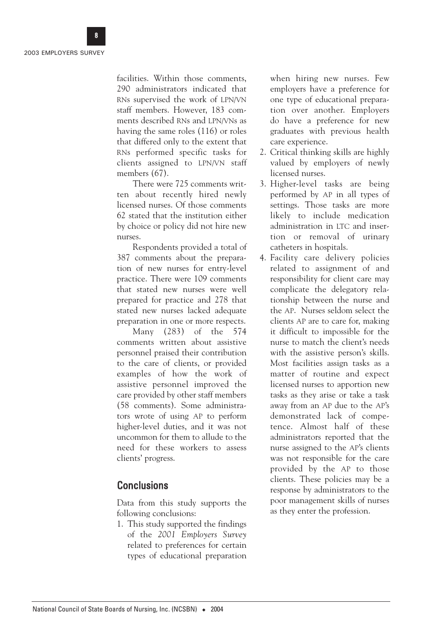facilities. Within those comments, 290 administrators indicated that RNs supervised the work of LPN/VN staff members. However, 183 comments described RNs and LPN/VNs as having the same roles (116) or roles that differed only to the extent that RNs performed specific tasks for clients assigned to LPN/VN staff members (67).

There were 725 comments written about recently hired newly licensed nurses. Of those comments 62 stated that the institution either by choice or policy did not hire new nurses.

Respondents provided a total of 387 comments about the preparation of new nurses for entry-level practice. There were 109 comments that stated new nurses were well prepared for practice and 278 that stated new nurses lacked adequate preparation in one or more respects.

Many (283) of the 574 comments written about assistive personnel praised their contribution to the care of clients, or provided examples of how the work of assistive personnel improved the care provided by other staff members (58 comments). Some administrators wrote of using AP to perform higher-level duties, and it was not uncommon for them to allude to the need for these workers to assess clients' progress.

### **Conclusions**

Data from this study supports the following conclusions:

1. This study supported the findings of the *2001 Employers Survey* related to preferences for certain types of educational preparation

when hiring new nurses. Few employers have a preference for one type of educational preparation over another. Employers do have a preference for new graduates with previous health care experience.

- 2. Critical thinking skills are highly valued by employers of newly licensed nurses.
- 3. Higher-level tasks are being performed by AP in all types of settings. Those tasks are more likely to include medication administration in LTC and insertion or removal of urinary catheters in hospitals.
- 4. Facility care delivery policies related to assignment of and responsibility for client care may complicate the delegatory relationship between the nurse and the AP. Nurses seldom select the clients AP are to care for, making it difficult to impossible for the nurse to match the client's needs with the assistive person's skills. Most facilities assign tasks as a matter of routine and expect licensed nurses to apportion new tasks as they arise or take a task away from an AP due to the AP's demonstrated lack of competence. Almost half of these administrators reported that the nurse assigned to the AP's clients was not responsible for the care provided by the AP to those clients. These policies may be a response by administrators to the poor management skills of nurses as they enter the profession.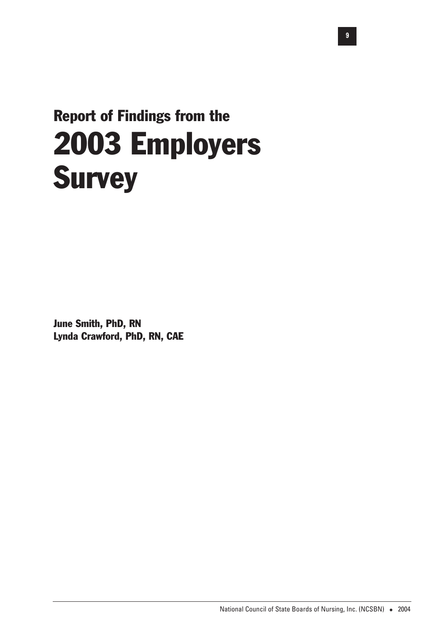# Report of Findings from the 2003 Employers **Survey**

June Smith, PhD, RN Lynda Crawford, PhD, RN, CAE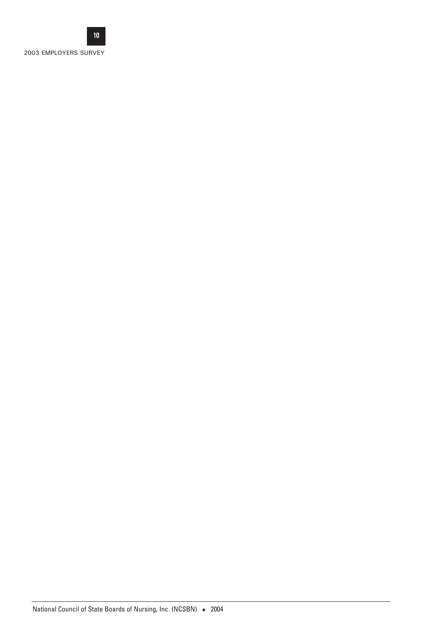2003 EMPLOYERS SURVEY

10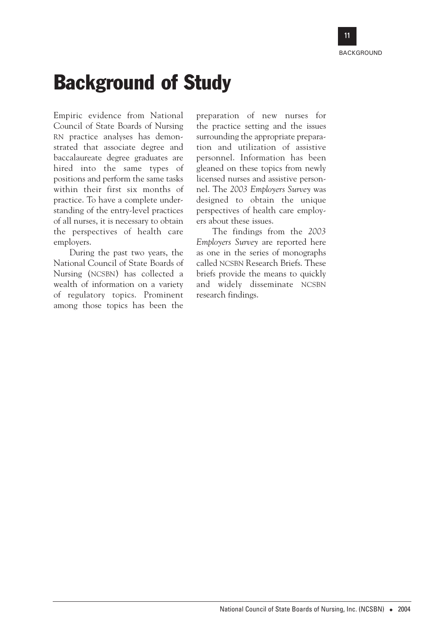

# Background of Study

Empiric evidence from National Council of State Boards of Nursing RN practice analyses has demonstrated that associate degree and baccalaureate degree graduates are hired into the same types of positions and perform the same tasks within their first six months of practice. To have a complete understanding of the entry-level practices of all nurses, it is necessary to obtain the perspectives of health care employers.

During the past two years, the National Council of State Boards of Nursing (NCSBN) has collected a wealth of information on a variety of regulatory topics. Prominent among those topics has been the

preparation of new nurses for the practice setting and the issues surrounding the appropriate preparation and utilization of assistive personnel. Information has been gleaned on these topics from newly licensed nurses and assistive personnel. The *2003 Employers Survey* was designed to obtain the unique perspectives of health care employers about these issues.

The findings from the *2003 Employers Survey* are reported here as one in the series of monographs called NCSBN Research Briefs. These briefs provide the means to quickly and widely disseminate NCSBN research findings.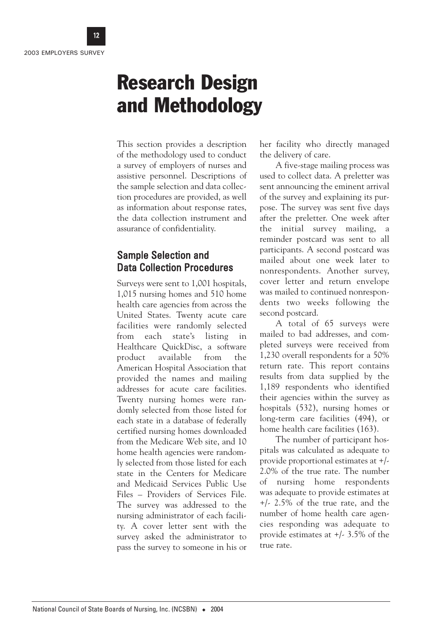# Research Design and Methodology

This section provides a description of the methodology used to conduct a survey of employers of nurses and assistive personnel. Descriptions of the sample selection and data collection procedures are provided, as well as information about response rates, the data collection instrument and assurance of confidentiality.

### Sample Selection and Data Collection Procedures

Surveys were sent to 1,001 hospitals, 1,015 nursing homes and 510 home health care agencies from across the United States. Twenty acute care facilities were randomly selected from each state's listing in Healthcare QuickDisc, a software product available from the American Hospital Association that provided the names and mailing addresses for acute care facilities. Twenty nursing homes were randomly selected from those listed for each state in a database of federally certified nursing homes downloaded from the Medicare Web site, and 10 home health agencies were randomly selected from those listed for each state in the Centers for Medicare and Medicaid Services Public Use Files – Providers of Services File. The survey was addressed to the nursing administrator of each facility. A cover letter sent with the survey asked the administrator to pass the survey to someone in his or her facility who directly managed the delivery of care.

A five-stage mailing process was used to collect data. A preletter was sent announcing the eminent arrival of the survey and explaining its purpose. The survey was sent five days after the preletter. One week after the initial survey mailing, a reminder postcard was sent to all participants. A second postcard was mailed about one week later to nonrespondents. Another survey, cover letter and return envelope was mailed to continued nonrespondents two weeks following the second postcard.

A total of 65 surveys were mailed to bad addresses, and completed surveys were received from 1,230 overall respondents for a 50% return rate. This report contains results from data supplied by the 1,189 respondents who identified their agencies within the survey as hospitals (532), nursing homes or long-term care facilities (494), or home health care facilities (163).

The number of participant hospitals was calculated as adequate to provide proportional estimates at +/- 2.0% of the true rate. The number of nursing home respondents was adequate to provide estimates at +/- 2.5% of the true rate, and the number of home health care agencies responding was adequate to provide estimates at +/- 3.5% of the true rate.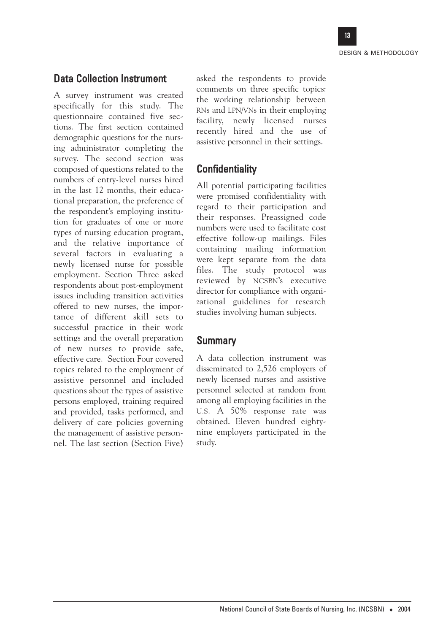### Data Collection Instrument

A survey instrument was created specifically for this study. The questionnaire contained five sections. The first section contained demographic questions for the nursing administrator completing the survey. The second section was composed of questions related to the numbers of entry-level nurses hired in the last 12 months, their educational preparation, the preference of the respondent's employing institution for graduates of one or more types of nursing education program, and the relative importance of several factors in evaluating a newly licensed nurse for possible employment. Section Three asked respondents about post-employment issues including transition activities offered to new nurses, the importance of different skill sets to successful practice in their work settings and the overall preparation of new nurses to provide safe, effective care. Section Four covered topics related to the employment of assistive personnel and included questions about the types of assistive persons employed, training required and provided, tasks performed, and delivery of care policies governing the management of assistive personnel. The last section (Section Five)

asked the respondents to provide comments on three specific topics: the working relationship between RNs and LPN/VNs in their employing facility, newly licensed nurses recently hired and the use of assistive personnel in their settings.

## **Confidentiality**

All potential participating facilities were promised confidentiality with regard to their participation and their responses. Preassigned code numbers were used to facilitate cost effective follow-up mailings. Files containing mailing information were kept separate from the data files. The study protocol was reviewed by NCSBN's executive director for compliance with organizational guidelines for research studies involving human subjects.

### Summary

A data collection instrument was disseminated to 2,526 employers of newly licensed nurses and assistive personnel selected at random from among all employing facilities in the U.S. A 50% response rate was obtained. Eleven hundred eightynine employers participated in the study.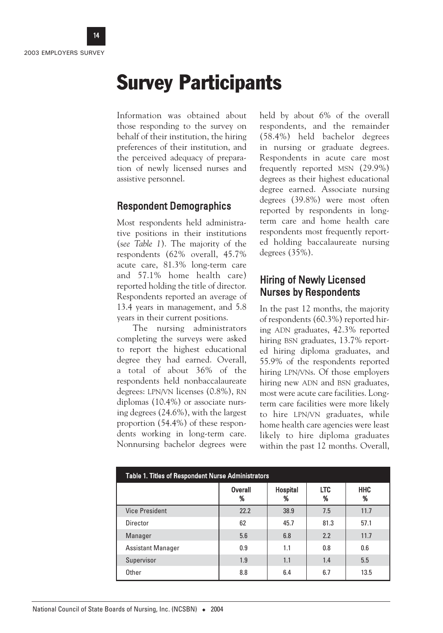# Survey Participants

Information was obtained about those responding to the survey on behalf of their institution, the hiring preferences of their institution, and the perceived adequacy of preparation of newly licensed nurses and assistive personnel.

### Respondent Demographics

Most respondents held administrative positions in their institutions (s*ee Table 1*). The majority of the respondents (62% overall, 45.7% acute care, 81.3% long-term care and 57.1% home health care) reported holding the title of director. Respondents reported an average of 13.4 years in management, and 5.8 years in their current positions.

The nursing administrators completing the surveys were asked to report the highest educational degree they had earned. Overall, a total of about 36% of the respondents held nonbaccalaureate degrees: LPN/VN licenses (0.8%), RN diplomas (10.4%) or associate nursing degrees (24.6%), with the largest proportion (54.4%) of these respondents working in long-term care. Nonnursing bachelor degrees were

held by about 6% of the overall respondents, and the remainder (58.4%) held bachelor degrees in nursing or graduate degrees. Respondents in acute care most frequently reported MSN (29.9%) degrees as their highest educational degree earned. Associate nursing degrees (39.8%) were most often reported by respondents in longterm care and home health care respondents most frequently reported holding baccalaureate nursing degrees (35%).

### Hiring of Newly Licensed Nurses by Respondents

In the past 12 months, the majority of respondents (60.3%) reported hiring ADN graduates, 42.3% reported hiring BSN graduates, 13.7% reported hiring diploma graduates, and 55.9% of the respondents reported hiring LPN/VNs. Of those employers hiring new ADN and BSN graduates, most were acute care facilities. Longterm care facilities were more likely to hire LPN/VN graduates, while home health care agencies were least likely to hire diploma graduates within the past 12 months. Overall,

| <b>Table 1. Titles of Respondent Nurse Administrators</b>                  |      |      |      |      |  |  |  |  |  |  |  |
|----------------------------------------------------------------------------|------|------|------|------|--|--|--|--|--|--|--|
| <b>HHC</b><br><b>Overall</b><br><b>Hospital</b><br>LTC<br>%<br>%<br>%<br>% |      |      |      |      |  |  |  |  |  |  |  |
| <b>Vice President</b>                                                      | 22.2 | 38.9 | 7.5  | 11.7 |  |  |  |  |  |  |  |
| Director                                                                   | 62   | 45.7 | 81.3 | 57.1 |  |  |  |  |  |  |  |
| Manager                                                                    | 5.6  | 6.8  | 2.2  | 11.7 |  |  |  |  |  |  |  |
| <b>Assistant Manager</b>                                                   | 0.9  | 1.1  | 0.8  | 0.6  |  |  |  |  |  |  |  |
| Supervisor                                                                 | 1.9  | 1.1  | 1.4  | 5.5  |  |  |  |  |  |  |  |
| Other                                                                      | 8.8  | 6.4  | 6.7  | 13.5 |  |  |  |  |  |  |  |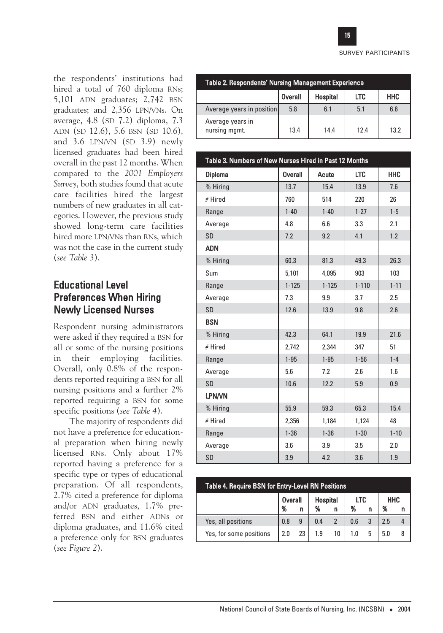

the respondents' institutions had hired a total of 760 diploma RNs; 5,101 ADN graduates; 2,742 BSN graduates; and 2,356 LPN/VNs. On average, 4.8 (SD 7.2) diploma, 7.3 ADN (SD 12.6), 5.6 BSN (SD 10.6), and 3.6 LPN/VN (SD 3.9) newly licensed graduates had been hired overall in the past 12 months. When compared to the *2001 Employers Survey*, both studies found that acute care facilities hired the largest numbers of new graduates in all categories. However, the previous study showed long-term care facilities hired more LPN/VNs than RNs, which was not the case in the current study (*see Table 3*).

# Educational Level Preferences When Hiring Newly Licensed Nurses

Respondent nursing administrators were asked if they required a BSN for all or some of the nursing positions in their employing facilities. Overall, only 0.8% of the respondents reported requiring a BSN for all nursing positions and a further 2% reported requiring a BSN for some specific positions (*see Table 4*).

The majority of respondents did not have a preference for educational preparation when hiring newly licensed RNs. Only about 17% reported having a preference for a specific type or types of educational preparation. Of all respondents, 2.7% cited a preference for diploma and/or ADN graduates, 1.7% preferred BSN and either ADNs or diploma graduates, and 11.6% cited a preference only for BSN graduates (*see Figure 2*).

| Table 2. Respondents' Nursing Management Experience           |      |      |      |      |  |  |  |  |  |  |  |  |
|---------------------------------------------------------------|------|------|------|------|--|--|--|--|--|--|--|--|
| <b>Overall</b><br><b>HHC</b><br><b>LTC</b><br><b>Hospital</b> |      |      |      |      |  |  |  |  |  |  |  |  |
| Average years in position                                     | 5.8  | 6.1  | 5.1  | 6.6  |  |  |  |  |  |  |  |  |
| Average years in<br>nursing mgmt.                             | 13.4 | 14.4 | 12.4 | 13.2 |  |  |  |  |  |  |  |  |

| Table 3. Numbers of New Nurses Hired in Past 12 Months |                |           |            |          |  |  |  |  |  |  |
|--------------------------------------------------------|----------------|-----------|------------|----------|--|--|--|--|--|--|
| <b>Diploma</b>                                         | <b>Overall</b> | Acute     | <b>LTC</b> | HHC.     |  |  |  |  |  |  |
| % Hiring                                               | 13.7           | 15.4      | 13.9       | 7.6      |  |  |  |  |  |  |
| # Hired                                                | 760            | 514       | 220        | 26       |  |  |  |  |  |  |
| Range                                                  | $1 - 40$       | $1 - 40$  | $1 - 27$   | $1 - 5$  |  |  |  |  |  |  |
| Average                                                | 4.8            | 6.6       | 3.3        | 2.1      |  |  |  |  |  |  |
| <b>SD</b>                                              | 7.2            | 9.2       | 4.1        | 1.2      |  |  |  |  |  |  |
| <b>ADN</b>                                             |                |           |            |          |  |  |  |  |  |  |
| % Hiring                                               | 60.3           | 81.3      | 49.3       | 26.3     |  |  |  |  |  |  |
| Sum                                                    | 5,101          | 4,095     | 903        | 103      |  |  |  |  |  |  |
| Range                                                  | $1 - 125$      | $1 - 125$ | $1 - 110$  | $1 - 11$ |  |  |  |  |  |  |
| Average                                                | 7.3            | 9.9       | 3.7        | 2.5      |  |  |  |  |  |  |
| SD                                                     | 12.6           | 13.9      | 9.8        | 2.6      |  |  |  |  |  |  |
| <b>BSN</b>                                             |                |           |            |          |  |  |  |  |  |  |
| % Hiring                                               | 42.3           | 64.1      | 19.9       | 21.6     |  |  |  |  |  |  |
| # Hired                                                | 2,742          | 2,344     | 347        | 51       |  |  |  |  |  |  |
| Range                                                  | $1 - 95$       | $1 - 95$  | $1 - 56$   | $1 - 4$  |  |  |  |  |  |  |
| Average                                                | 5.6            | 7.2       | 2.6        | 1.6      |  |  |  |  |  |  |
| <b>SD</b>                                              | 10.6           | 12.2      | 5.9        | 0.9      |  |  |  |  |  |  |
| <b>LPN/VN</b>                                          |                |           |            |          |  |  |  |  |  |  |
| % Hiring                                               | 55.9           | 59.3      | 65.3       | 15.4     |  |  |  |  |  |  |
| # Hired                                                | 2,356          | 1,184     | 1,124      | 48       |  |  |  |  |  |  |
| Range                                                  | $1 - 36$       | $1 - 36$  | $1 - 30$   | $1 - 10$ |  |  |  |  |  |  |
| Average                                                | 3.6            | 3.9       | 3.5        | 2.0      |  |  |  |  |  |  |
| <b>SD</b>                                              | 3.9            | 4.2       | 3.6        | 1.9      |  |  |  |  |  |  |

| Table 4. Require BSN for Entry-Level RN Positions |                |    |                 |            |            |   |     |   |  |  |  |
|---------------------------------------------------|----------------|----|-----------------|------------|------------|---|-----|---|--|--|--|
|                                                   | <b>Overall</b> |    | <b>Hospital</b> | <b>LTC</b> | <b>HHC</b> |   |     |   |  |  |  |
|                                                   | %              | n  | %               | n          | %          | n | %   | n |  |  |  |
| Yes, all positions                                | 0.8            | 9  | 0.4             |            | 0.6        |   | 2.5 |   |  |  |  |
| Yes, for some positions                           | 2.0            | 23 | 1.9             | 10         | 1.0        | 5 | 5.0 | 8 |  |  |  |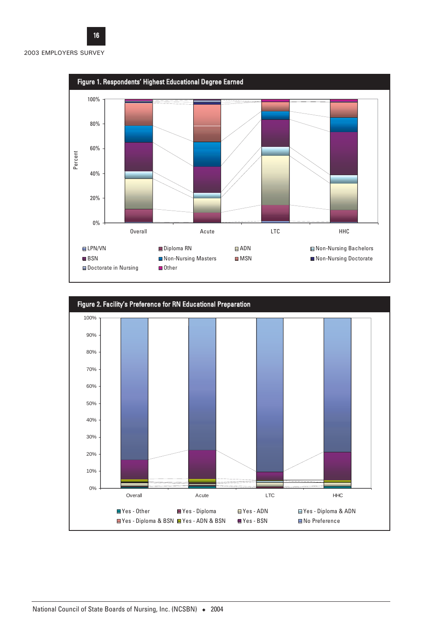

2003 EMPLOYERS SURVEY



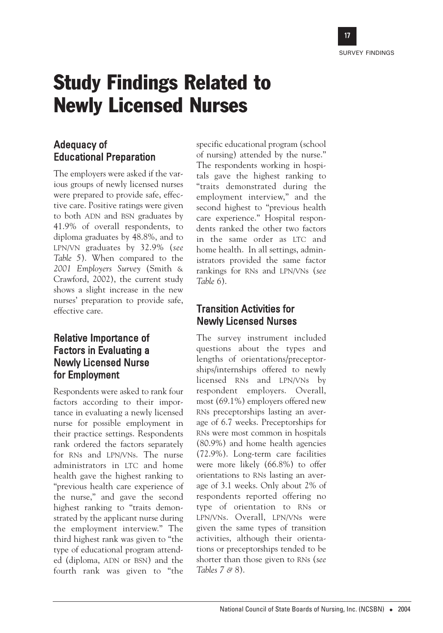# Study Findings Related to Newly Licensed Nurses

# Adequacy of Educational Preparation

The employers were asked if the various groups of newly licensed nurses were prepared to provide safe, effective care. Positive ratings were given to both ADN and BSN graduates by 41.9% of overall respondents, to diploma graduates by 48.8%, and to LPN/VN graduates by 32.9% (*see Table 5*). When compared to the *2001 Employers Survey* (Smith & Crawford, 2002), the current study shows a slight increase in the new nurses' preparation to provide safe, effective care.

# Relative Importance of Factors in Evaluating a Newly Licensed Nurse for Employment

Respondents were asked to rank four factors according to their importance in evaluating a newly licensed nurse for possible employment in their practice settings. Respondents rank ordered the factors separately for RNs and LPN/VNs. The nurse administrators in LTC and home health gave the highest ranking to "previous health care experience of the nurse," and gave the second highest ranking to "traits demonstrated by the applicant nurse during the employment interview." The third highest rank was given to "the type of educational program attended (diploma, ADN or BSN) and the fourth rank was given to "the

specific educational program (school of nursing) attended by the nurse." The respondents working in hospitals gave the highest ranking to "traits demonstrated during the employment interview," and the second highest to "previous health care experience." Hospital respondents ranked the other two factors in the same order as LTC and home health. In all settings, administrators provided the same factor rankings for RNs and LPN/VNs (*see Table 6*).

# Transition Activities for Newly Licensed Nurses

The survey instrument included questions about the types and lengths of orientations/preceptorships/internships offered to newly licensed RNs and LPN/VNs by respondent employers. Overall, most (69.1%) employers offered new RNs preceptorships lasting an average of 6.7 weeks. Preceptorships for RNs were most common in hospitals (80.9%) and home health agencies (72.9%). Long-term care facilities were more likely (66.8%) to offer orientations to RNs lasting an average of 3.1 weeks. Only about 2% of respondents reported offering no type of orientation to RNs or LPN/VNs. Overall, LPN/VNs were given the same types of transition activities, although their orientations or preceptorships tended to be shorter than those given to RNs (*see Tables 7 & 8*).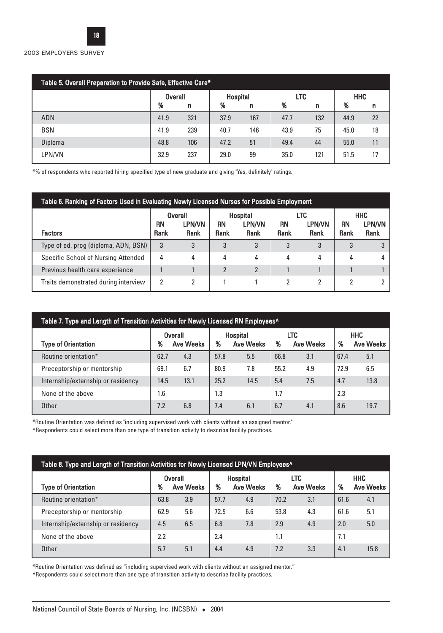| Table 5. Overall Preparation to Provide Safe, Effective Care* |                |     |          |     |      |     |            |    |  |  |
|---------------------------------------------------------------|----------------|-----|----------|-----|------|-----|------------|----|--|--|
|                                                               | <b>Overall</b> |     | Hospital |     | LTC  |     | <b>HHC</b> |    |  |  |
|                                                               | %              | n   | %        | n   | %    | n   | %          | n  |  |  |
| <b>ADN</b>                                                    | 41.9           | 321 | 37.9     | 167 | 47.7 | 132 | 44.9       | 22 |  |  |
| <b>BSN</b>                                                    | 41.9           | 239 | 40.7     | 146 | 43.9 | 75  | 45.0       | 18 |  |  |
| Diploma                                                       | 48.8           | 106 | 47.2     | 51  | 49.4 | 44  | 55.0       | 11 |  |  |
| LPN/VN                                                        | 32.9           | 237 | 29.0     | 99  | 35.0 | 121 | 51.5       | 17 |  |  |

\*% of respondents who reported hiring specified type of new graduate and giving "Yes, definitely" ratings.

| Table 6. Ranking of Factors Used in Evaluating Newly Licensed Nurses for Possible Employment |                   |                                  |                   |                                          |                   |                               |                   |                                     |  |  |  |  |
|----------------------------------------------------------------------------------------------|-------------------|----------------------------------|-------------------|------------------------------------------|-------------------|-------------------------------|-------------------|-------------------------------------|--|--|--|--|
| <b>Factors</b>                                                                               | <b>RN</b><br>Rank | Overall<br><b>LPN/VN</b><br>Rank | <b>RN</b><br>Rank | <b>Hospital</b><br><b>LPN/VN</b><br>Rank | <b>RN</b><br>Rank | LTC.<br><b>LPN/VN</b><br>Rank | <b>RN</b><br>Rank | <b>HHC</b><br><b>LPN/VN</b><br>Rank |  |  |  |  |
| Type of ed. prog (diploma, ADN, BSN)                                                         | 3                 | 3                                |                   | 3                                        |                   | 3                             |                   |                                     |  |  |  |  |
| Specific School of Nursing Attended                                                          | 4                 | 4                                | 4                 | 4                                        | 4                 | 4                             | 4                 |                                     |  |  |  |  |
| Previous health care experience                                                              |                   |                                  |                   | $\overline{2}$                           |                   |                               |                   |                                     |  |  |  |  |
| Traits demonstrated during interview                                                         |                   |                                  |                   |                                          |                   |                               |                   |                                     |  |  |  |  |

| Table 7. Type and Length of Transition Activities for Newly Licensed RN Employees <sup>A</sup> |      |                             |      |                              |      |                  |      |                                |  |  |  |
|------------------------------------------------------------------------------------------------|------|-----------------------------|------|------------------------------|------|------------------|------|--------------------------------|--|--|--|
| <b>Type of Orientation</b>                                                                     | %    | Overall<br><b>Ave Weeks</b> | %    | Hospital<br><b>Ave Weeks</b> | %    | LTC<br>Ave Weeks | %    | <b>HHC</b><br><b>Ave Weeks</b> |  |  |  |
| Routine orientation*                                                                           | 62.7 | 4.3                         | 57.8 | 5.5                          | 66.8 | 3.1              | 67.4 | 5.1                            |  |  |  |
| Preceptorship or mentorship                                                                    | 69.1 | 6.7                         | 80.9 | 7.8                          | 55.2 | 4.9              | 72.9 | 6.5                            |  |  |  |
| Internship/externship or residency                                                             | 14.5 | 13.1                        | 25.2 | 14.5                         | 5.4  | 7.5              | 4.7  | 13.8                           |  |  |  |
| None of the above                                                                              | 1.6  |                             | 1.3  |                              | 1.7  |                  | 2.3  |                                |  |  |  |
| Other                                                                                          | 7.2  | 6.8                         | 7.4  | 6.1                          | 6.7  | 4.1              | 8.6  | 19.7                           |  |  |  |

\*Routine Orientation was defined as "including supervised work with clients without an assigned mentor." ^Respondents could select more than one type of transition activity to describe facility practices.

| Table 8. Type and Length of Transition Activities for Newly Licensed LPN/VN Employees^ |      |                             |                                          |     |                              |     |      |                                |  |  |
|----------------------------------------------------------------------------------------|------|-----------------------------|------------------------------------------|-----|------------------------------|-----|------|--------------------------------|--|--|
| <b>Type of Orientation</b>                                                             | %    | Overall<br><b>Ave Weeks</b> | <b>Hospital</b><br>%<br><b>Ave Weeks</b> |     | LTC<br>%<br><b>Ave Weeks</b> |     | %    | <b>HHC</b><br><b>Ave Weeks</b> |  |  |
| Routine orientation*                                                                   | 63.8 | 3.9                         | 57.7                                     | 4.9 | 70.2                         | 3.1 | 61.6 | 4.1                            |  |  |
| Preceptorship or mentorship                                                            | 62.9 | 5.6                         | 72.5                                     | 6.6 | 53.8                         | 4.3 | 61.6 | 5.1                            |  |  |
| Internship/externship or residency                                                     | 4.5  | 6.5                         | 6.8                                      | 7.8 | 2.9                          | 4.9 | 2.0  | 5.0                            |  |  |
| None of the above                                                                      | 2.2  |                             | 2.4                                      |     | 1.1                          |     | 7.1  |                                |  |  |
| Other                                                                                  | 5.7  | 5.1                         | 4.4                                      | 4.9 | 7.2                          | 3.3 | 4.1  | 15.8                           |  |  |

\*Routine Orientation was defined as "including supervised work with clients without an assigned mentor." ^Respondents could select more than one type of transition activity to describe facility practices.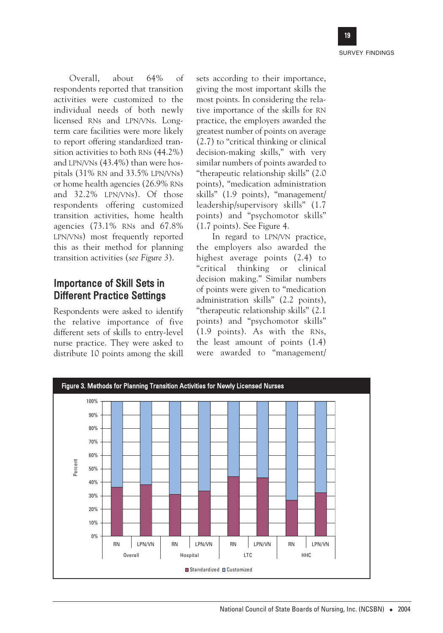Overall, about 64% of respondents reported that transition activities were customized to the individual needs of both newly licensed RNs and LPN/VNs. Longterm care facilities were more likely to report offering standardized transition activities to both RNs (44.2%) and LPN/VNs (43.4%) than were hospitals (31% RN and 33.5% LPN/VNs) or home health agencies (26.9% RNs and 32.2% LPN/VNs). Of those respondents offering customized transition activities, home health agencies (73.1% RNs and 67.8% LPN/VNs) most frequently reported this as their method for planning transition activities (*see Figure 3*).

### Importance of Skill Sets in Different Practice Settings

Respondents were asked to identify the relative importance of five different sets of skills to entry-level nurse practice. They were asked to distribute 10 points among the skill

sets according to their importance, giving the most important skills the most points. In considering the relative importance of the skills for RN practice, the employers awarded the greatest number of points on average (2.7) to "critical thinking or clinical decision-making skills," with very similar numbers of points awarded to "therapeutic relationship skills" (2.0 points), "medication administration skills" (1.9 points), "management/ leadership/supervisory skills" (1.7 points) and "psychomotor skills" (1.7 points). See Figure 4.

In regard to LPN/VN practice, the employers also awarded the highest average points (2.4) to "critical thinking or clinical decision making." Similar numbers of points were given to "medication administration skills" (2.2 points), "therapeutic relationship skills" (2.1 points) and "psychomotor skills" (1.9 points). As with the RNs, the least amount of points (1.4) were awarded to "management/

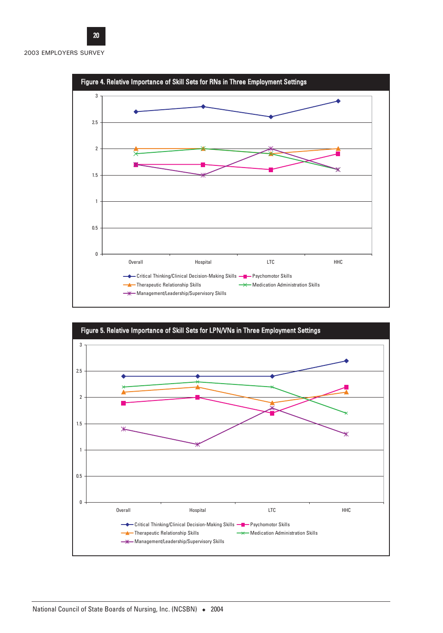



![](_page_27_Figure_2.jpeg)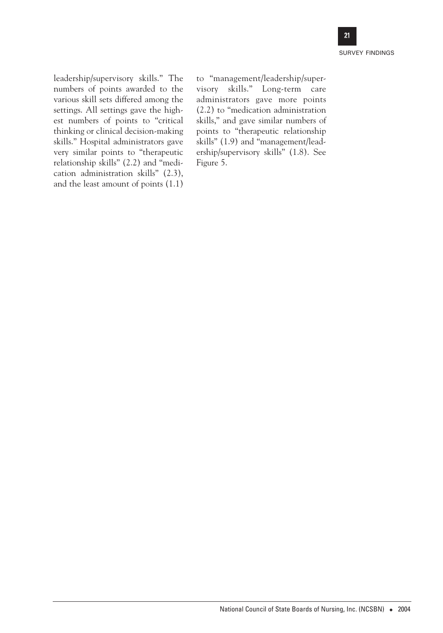leadership/supervisory skills." The numbers of points awarded to the various skill sets differed among the settings. All settings gave the highest numbers of points to "critical thinking or clinical decision-making skills." Hospital administrators gave very similar points to "therapeutic relationship skills" (2.2) and "medication administration skills" (2.3), and the least amount of points (1.1)

to "management/leadership/supervisory skills." Long-term care administrators gave more points (2.2) to "medication administration skills," and gave similar numbers of points to "therapeutic relationship skills" (1.9) and "management/leadership/supervisory skills" (1.8). See Figure 5.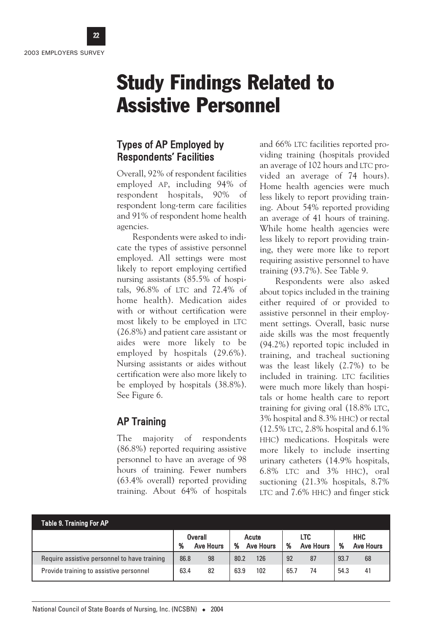# Study Findings Related to Assistive Personnel

### Types of AP Employed by Respondents' Facilities

Overall, 92% of respondent facilities employed AP, including 94% of respondent hospitals, 90% of respondent long-term care facilities and 91% of respondent home health agencies.

Respondents were asked to indicate the types of assistive personnel employed. All settings were most likely to report employing certified nursing assistants (85.5% of hospitals, 96.8% of LTC and 72.4% of home health). Medication aides with or without certification were most likely to be employed in LTC (26.8%) and patient care assistant or aides were more likely to be employed by hospitals (29.6%). Nursing assistants or aides without certification were also more likely to be employed by hospitals (38.8%). See Figure 6.

### AP Training

The majority of respondents (86.8%) reported requiring assistive personnel to have an average of 98 hours of training. Fewer numbers (63.4% overall) reported providing training. About 64% of hospitals

and 66% LTC facilities reported providing training (hospitals provided an average of 102 hours and LTC provided an average of 74 hours). Home health agencies were much less likely to report providing training. About 54% reported providing an average of 41 hours of training. While home health agencies were less likely to report providing training, they were more like to report requiring assistive personnel to have training (93.7%). See Table 9.

Respondents were also asked about topics included in the training either required of or provided to assistive personnel in their employment settings. Overall, basic nurse aide skills was the most frequently (94.2%) reported topic included in training, and tracheal suctioning was the least likely (2.7%) to be included in training. LTC facilities were much more likely than hospitals or home health care to report training for giving oral (18.8% LTC, 3% hospital and 8.3% HHC) or rectal (12.5% LTC, 2.8% hospital and 6.1% HHC) medications. Hospitals were more likely to include inserting urinary catheters (14.9% hospitals, 6.8% LTC and 3% HHC), oral suctioning (21.3% hospitals, 8.7% LTC and 7.6% HHC) and finger stick

| Table 9. Training For AP                     |      |                      |      |                    |      |                   |      |                         |  |  |
|----------------------------------------------|------|----------------------|------|--------------------|------|-------------------|------|-------------------------|--|--|
|                                              | %    | Overall<br>Ave Hours | %    | Acute<br>Ave Hours | %    | LTC.<br>Ave Hours | %    | <b>HHC</b><br>Ave Hours |  |  |
| Require assistive personnel to have training | 86.8 | 98                   | 80.2 | 126                | 92   | 87                | 93.7 | 68                      |  |  |
| Provide training to assistive personnel      | 63.4 | 82                   | 63.9 | 102                | 65.7 | 74                | 54.3 | 41                      |  |  |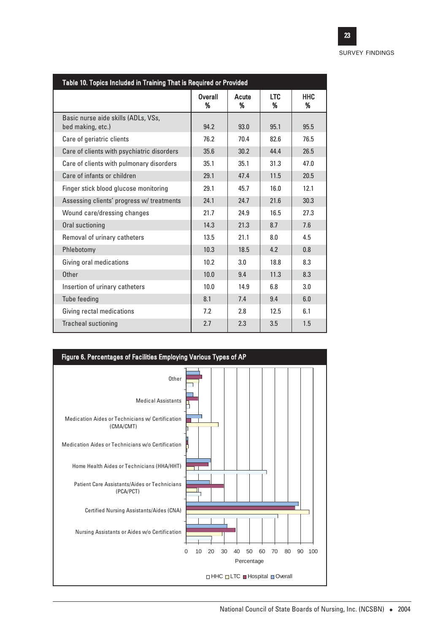| Table 10. Topics Included in Training That is Required or Provided |                     |            |          |                 |  |
|--------------------------------------------------------------------|---------------------|------------|----------|-----------------|--|
|                                                                    | <b>Overall</b><br>% | Acute<br>% | LTC<br>% | <b>HHC</b><br>% |  |
| Basic nurse aide skills (ADLs, VSs,<br>bed making, etc.)           | 94.2                | 93.0       | 95.1     | 95.5            |  |
| Care of geriatric clients                                          | 76.2                | 70.4       | 82.6     | 76.5            |  |
| Care of clients with psychiatric disorders                         | 35.6                | 30.2       | 44.4     | 26.5            |  |
| Care of clients with pulmonary disorders                           | 35.1                | 35.1       | 31.3     | 47.0            |  |
| Care of infants or children                                        | 29.1                | 47.4       | 11.5     | 20.5            |  |
| Finger stick blood glucose monitoring                              | 29.1                | 45.7       | 16.0     | 12.1            |  |
| Assessing clients' progress w/ treatments                          | 24.1                | 24.7       | 21.6     | 30.3            |  |
| Wound care/dressing changes                                        | 21.7                | 24.9       | 16.5     | 27.3            |  |
| Oral suctioning                                                    | 14.3                | 21.3       | 8.7      | 7.6             |  |
| Removal of urinary catheters                                       | 13.5                | 21.1       | 8.0      | 4.5             |  |
| Phlebotomy                                                         | 10.3                | 18.5       | 4.2      | 0.8             |  |
| Giving oral medications                                            | 10.2                | 3.0        | 18.8     | 8.3             |  |
| Other                                                              | 10.0                | 9.4        | 11.3     | 8.3             |  |
| Insertion of urinary catheters                                     | 10.0                | 14.9       | 6.8      | 3.0             |  |
| Tube feeding                                                       | 8.1                 | 7.4        | 9.4      | 6.0             |  |
| Giving rectal medications                                          | 7.2                 | 2.8        | 12.5     | 6.1             |  |
| Tracheal suctioning                                                | 2.7                 | 2.3        | 3.5      | 1.5             |  |

![](_page_30_Figure_2.jpeg)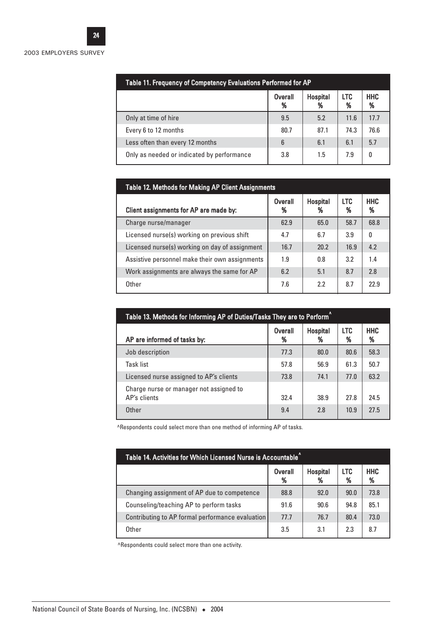#### 2003 EMPLOYERS SURVEY

| Table 11. Frequency of Competency Evaluations Performed for AP |              |                      |                 |                 |  |
|----------------------------------------------------------------|--------------|----------------------|-----------------|-----------------|--|
|                                                                | Overall<br>% | <b>Hospital</b><br>% | <b>LTC</b><br>% | <b>HHC</b><br>% |  |
| Only at time of hire                                           | 9.5          | 5.2                  | 11.6            | 17.7            |  |
| Every 6 to 12 months                                           | 80.7         | 87.1                 | 74.3            | 76.6            |  |
| Less often than every 12 months                                | 6            | 6.1                  | 6.1             | 5.7             |  |
| Only as needed or indicated by performance                     | 3.8          | 1.5                  | 7.9             | 0               |  |

| Table 12. Methods for Making AP Client Assignments |                     |                      |                 |                 |  |
|----------------------------------------------------|---------------------|----------------------|-----------------|-----------------|--|
| Client assignments for AP are made by:             | <b>Overall</b><br>% | <b>Hospital</b><br>% | <b>LTC</b><br>% | <b>HHC</b><br>% |  |
| Charge nurse/manager                               | 62.9                | 65.0                 | 58.7            | 68.8            |  |
| Licensed nurse(s) working on previous shift        | 4.7                 | 6.7                  | 3.9             | 0               |  |
| Licensed nurse(s) working on day of assignment     | 16.7                | 20.2                 | 16.9            | 4.2             |  |
| Assistive personnel make their own assignments     | 1.9                 | 0.8                  | 3.2             | 14              |  |
| Work assignments are always the same for AP        | 6.2                 | 5.1                  | 8.7             | 2.8             |  |
| Other                                              | 7.6                 | 2.2                  | 8.7             | 22.9            |  |

| Table 13. Methods for Informing AP of Duties/Tasks They are to Perform^ |              |                      |          |                 |  |
|-------------------------------------------------------------------------|--------------|----------------------|----------|-----------------|--|
| AP are informed of tasks by:                                            | Overall<br>% | <b>Hospital</b><br>% | LTC<br>% | <b>HHC</b><br>% |  |
| Job description                                                         | 77.3         | 80.0                 | 80.6     | 58.3            |  |
| <b>Task list</b>                                                        | 57.8         | 56.9                 | 61.3     | 50.7            |  |
| Licensed nurse assigned to AP's clients                                 | 73.8         | 74.1                 | 77.0     | 63.2            |  |
| Charge nurse or manager not assigned to<br>AP's clients                 | 32.4         | 38.9                 | 27.8     | 24.5            |  |
| Other                                                                   | 9.4          | 2.8                  | 10.9     | 27.5            |  |

^Respondents could select more than one method of informing AP of tasks.

| Table 14. Activities for Which Licensed Nurse is Accountable $\hat{\ }$ |                     |                      |                 |                 |  |
|-------------------------------------------------------------------------|---------------------|----------------------|-----------------|-----------------|--|
|                                                                         | <b>Overall</b><br>% | <b>Hospital</b><br>% | <b>LTC</b><br>% | <b>HHC</b><br>% |  |
| Changing assignment of AP due to competence                             | 88.8                | 92.0                 | 90.0            | 73.8            |  |
| Counseling/teaching AP to perform tasks                                 | 91.6                | 90.6                 | 94.8            | 85.1            |  |
| Contributing to AP formal performance evaluation                        | 77.7                | 76.7                 | 80.4            | 73.0            |  |
| Other                                                                   | 3.5                 | 3.1                  | 2.3             | 8.7             |  |

^Respondents could select more than one activity.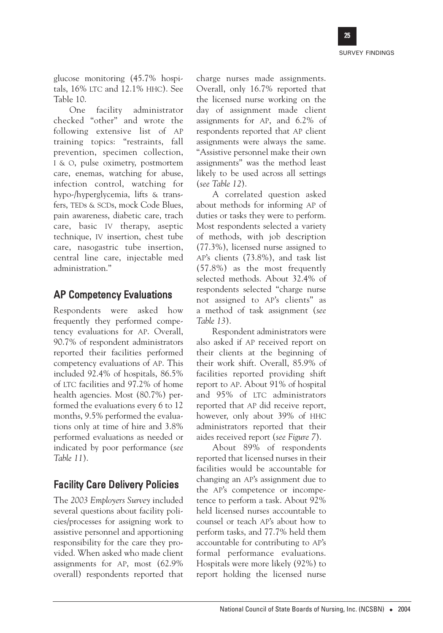glucose monitoring (45.7% hospitals, 16% LTC and 12.1% HHC). See Table 10.

One facility administrator checked "other" and wrote the following extensive list of AP training topics: "restraints, fall prevention, specimen collection, I & O, pulse oximetry, postmortem care, enemas, watching for abuse, infection control, watching for hypo-/hyperglycemia, lifts & transfers, TEDs & SCDs, mock Code Blues, pain awareness, diabetic care, trach care, basic IV therapy, aseptic technique, IV insertion, chest tube care, nasogastric tube insertion, central line care, injectable med administration."

### AP Competency Evaluations

Respondents were asked how frequently they performed competency evaluations for AP. Overall, 90.7% of respondent administrators reported their facilities performed competency evaluations of AP. This included 92.4% of hospitals, 86.5% of LTC facilities and 97.2% of home health agencies. Most (80.7%) performed the evaluations every 6 to 12 months, 9.5% performed the evaluations only at time of hire and 3.8% performed evaluations as needed or indicated by poor performance (*see Table 11*).

# Facility Care Delivery Policies

The *2003 Employers Survey* included several questions about facility policies/processes for assigning work to assistive personnel and apportioning responsibility for the care they provided. When asked who made client assignments for AP, most (62.9% overall) respondents reported that

charge nurses made assignments. Overall, only 16.7% reported that the licensed nurse working on the day of assignment made client assignments for AP, and 6.2% of respondents reported that AP client assignments were always the same. "Assistive personnel make their own assignments" was the method least likely to be used across all settings (*see Table 12*).

A correlated question asked about methods for informing AP of duties or tasks they were to perform. Most respondents selected a variety of methods, with job description (77.3%), licensed nurse assigned to AP's clients (73.8%), and task list (57.8%) as the most frequently selected methods. About 32.4% of respondents selected "charge nurse not assigned to AP's clients" as a method of task assignment (*see Table 13*).

Respondent administrators were also asked if AP received report on their clients at the beginning of their work shift. Overall, 85.9% of facilities reported providing shift report to AP. About 91% of hospital and 95% of LTC administrators reported that AP did receive report, however, only about 39% of HHC administrators reported that their aides received report (*see Figure 7*).

About 89% of respondents reported that licensed nurses in their facilities would be accountable for changing an AP's assignment due to the AP's competence or incompetence to perform a task. About 92% held licensed nurses accountable to counsel or teach AP's about how to perform tasks, and 77.7% held them accountable for contributing to AP's formal performance evaluations. Hospitals were more likely (92%) to report holding the licensed nurse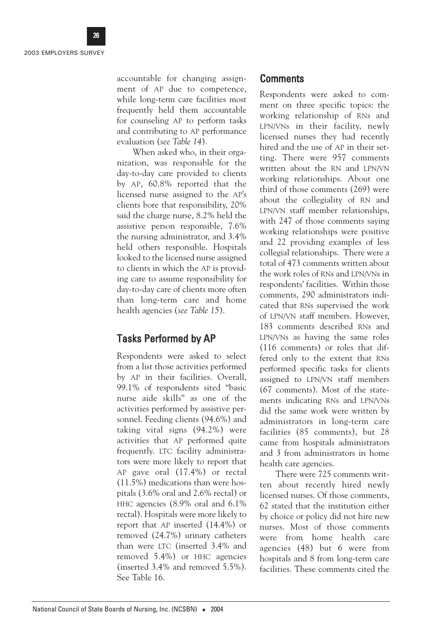accountable for changing assignment of AP due to competence, while long-term care facilities most frequently held them accountable for counseling AP to perform tasks and contributing to AP performance evaluation (*see Table 14*).

When asked who, in their organization, was responsible for the day-to-day care provided to clients by AP, 60.8% reported that the licensed nurse assigned to the AP's clients bore that responsibility, 20% said the charge nurse, 8.2% held the assistive person responsible, 7.6% the nursing administrator, and 3.4% held others responsible. Hospitals looked to the licensed nurse assigned to clients in which the AP is providing care to assume responsibility for day-to-day care of clients more often than long-term care and home health agencies (*see Table 15*).

### Tasks Performed by AP

Respondents were asked to select from a list those activities performed by AP in their facilities. Overall, 99.1% of respondents sited "basic nurse aide skills" as one of the activities performed by assistive personnel. Feeding clients (94.6%) and taking vital signs (94.2%) were activities that AP performed quite frequently. LTC facility administrators were more likely to report that AP gave oral (17.4%) or rectal (11.5%) medications than were hospitals (3.6% oral and 2.6% rectal) or HHC agencies (8.9% oral and 6.1% rectal). Hospitals were more likely to report that AP inserted (14.4%) or removed (24.7%) urinary catheters than were LTC (inserted 3.4% and removed 5.4%) or HHC agencies (inserted 3.4% and removed 5.5%). See Table 16.

### **Comments**

Respondents were asked to comment on three specific topics: the working relationship of RNs and LPN/VNs in their facility, newly licensed nurses they had recently hired and the use of AP in their setting. There were 957 comments written about the RN and LPN/VN working relationships. About one third of those comments (269) were about the collegiality of RN and LPN/VN staff member relationships, with 247 of those comments saying working relationships were positive and 22 providing examples of less collegial relationships. There were a total of 473 comments written about the work roles of RNs and LPN/VNs in respondents' facilities. Within those comments, 290 administrators indicated that RNs supervised the work of LPN/VN staff members. However, 183 comments described RNs and LPN/VNs as having the same roles (116 comments) or roles that differed only to the extent that RNs performed specific tasks for clients assigned to LPN/VN staff members (67 comments). Most of the statements indicating RNs and LPN/VNs did the same work were written by administrators in long-term care facilities (85 comments), but 28 came from hospitals administrators and 3 from administrators in home health care agencies.

There were 725 comments written about recently hired newly licensed nurses. Of those comments, 62 stated that the institution either by choice or policy did not hire new nurses. Most of those comments were from home health care agencies (48) but 6 were from hospitals and 8 from long-term care facilities. These comments cited the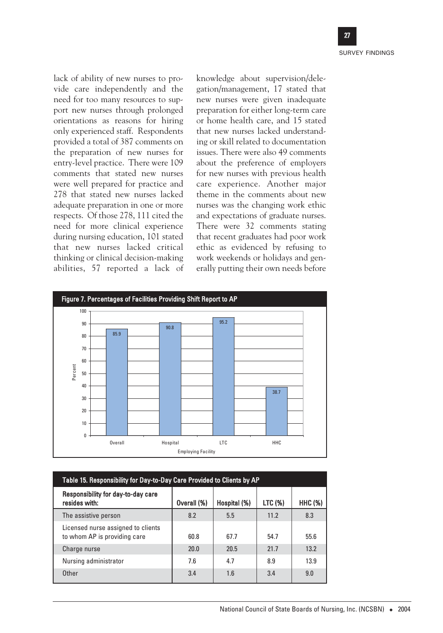lack of ability of new nurses to provide care independently and the need for too many resources to support new nurses through prolonged orientations as reasons for hiring only experienced staff. Respondents provided a total of 387 comments on the preparation of new nurses for entry-level practice. There were 109 comments that stated new nurses were well prepared for practice and 278 that stated new nurses lacked adequate preparation in one or more respects. Of those 278, 111 cited the need for more clinical experience during nursing education, 101 stated that new nurses lacked critical thinking or clinical decision-making abilities, 57 reported a lack of

knowledge about supervision/delegation/management, 17 stated that new nurses were given inadequate preparation for either long-term care or home health care, and 15 stated that new nurses lacked understanding or skill related to documentation issues. There were also 49 comments about the preference of employers for new nurses with previous health care experience. Another major theme in the comments about new nurses was the changing work ethic and expectations of graduate nurses. There were 32 comments stating that recent graduates had poor work ethic as evidenced by refusing to work weekends or holidays and generally putting their own needs before

![](_page_34_Figure_3.jpeg)

| Table 15. Responsibility for Day-to-Day Care Provided to Clients by AP |             |              |         |                |  |  |
|------------------------------------------------------------------------|-------------|--------------|---------|----------------|--|--|
| Responsibility for day-to-day care<br>resides with:                    | Overall (%) | Hospital (%) | LTC (%) | <b>HHC (%)</b> |  |  |
| The assistive person                                                   | 8.2         | 5.5          | 11.2    | 8.3            |  |  |
| Licensed nurse assigned to clients<br>to whom AP is providing care     | 60.8        | 67.7         | 54.7    | 55.6           |  |  |
| Charge nurse                                                           | 20.0        | 20.5         | 21.7    | 13.2           |  |  |
| Nursing administrator                                                  | 7.6         | 4.7          | 8.9     | 13.9           |  |  |
| Other                                                                  | 3.4         | 1.6          | 3.4     | 9.0            |  |  |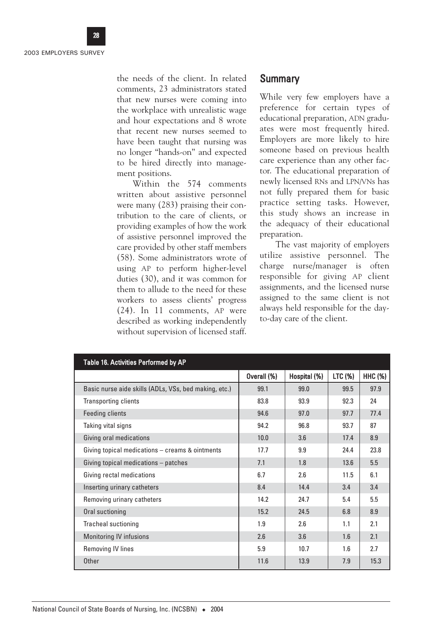the needs of the client. In related comments, 23 administrators stated that new nurses were coming into the workplace with unrealistic wage and hour expectations and 8 wrote that recent new nurses seemed to have been taught that nursing was no longer "hands-on" and expected to be hired directly into management positions.

Within the 574 comments written about assistive personnel were many (283) praising their contribution to the care of clients, or providing examples of how the work of assistive personnel improved the care provided by other staff members (58). Some administrators wrote of using AP to perform higher-level duties (30), and it was common for them to allude to the need for these workers to assess clients' progress (24). In 11 comments, AP were described as working independently without supervision of licensed staff.

### **Summary**

While very few employers have a preference for certain types of educational preparation, ADN graduates were most frequently hired. Employers are more likely to hire someone based on previous health care experience than any other factor. The educational preparation of newly licensed RNs and LPN/VNs has not fully prepared them for basic practice setting tasks. However, this study shows an increase in the adequacy of their educational preparation.

The vast majority of employers utilize assistive personnel. The charge nurse/manager is often responsible for giving AP client assignments, and the licensed nurse assigned to the same client is not always held responsible for the dayto-day care of the client.

| Table 16. Activities Performed by AP                  |             |              |         |                |  |
|-------------------------------------------------------|-------------|--------------|---------|----------------|--|
|                                                       | Overall (%) | Hospital (%) | LTC (%) | <b>HHC (%)</b> |  |
| Basic nurse aide skills (ADLs, VSs, bed making, etc.) | 99.1        | 99.0         | 99.5    | 97.9           |  |
| <b>Transporting clients</b>                           | 83.8        | 93.9         | 92.3    | 24             |  |
| Feeding clients                                       | 94.6        | 97.0         | 97.7    | 77.4           |  |
| Taking vital signs                                    | 94.2        | 96.8         | 93.7    | 87             |  |
| Giving oral medications                               | 10.0        | 3.6          | 17.4    | 8.9            |  |
| Giving topical medications - creams & ointments       | 17.7        | 9.9          | 24.4    | 23.8           |  |
| Giving topical medications - patches                  | 7.1         | 1.8          | 13.6    | 5.5            |  |
| Giving rectal medications                             | 6.7         | 2.6          | 11.5    | 6.1            |  |
| Inserting urinary catheters                           | 8.4         | 14.4         | 3.4     | 3.4            |  |
| Removing urinary catheters                            | 14.2        | 24.7         | 5.4     | 5.5            |  |
| Oral suctioning                                       | 15.2        | 24.5         | 6.8     | 8.9            |  |
| Tracheal suctioning                                   | 1.9         | 2.6          | 1.1     | 2.1            |  |
| Monitoring IV infusions                               | 2.6         | 3.6          | 1.6     | 2.1            |  |
| <b>Removing IV lines</b>                              | 5.9         | 10.7         | 1.6     | 2.7            |  |
| <b>Other</b>                                          | 11.6        | 13.9         | 7.9     | 15.3           |  |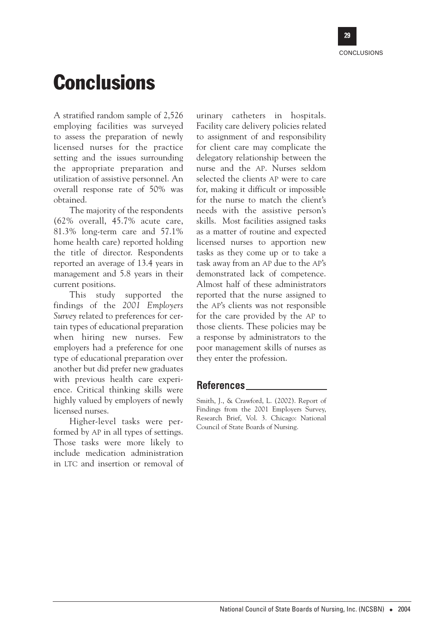![](_page_36_Picture_0.jpeg)

# **Conclusions**

A stratified random sample of 2,526 employing facilities was surveyed to assess the preparation of newly licensed nurses for the practice setting and the issues surrounding the appropriate preparation and utilization of assistive personnel. An overall response rate of 50% was obtained.

The majority of the respondents (62% overall, 45.7% acute care, 81.3% long-term care and 57.1% home health care) reported holding the title of director. Respondents reported an average of 13.4 years in management and 5.8 years in their current positions.

This study supported the findings of the *2001 Employers Survey* related to preferences for certain types of educational preparation when hiring new nurses. Few employers had a preference for one type of educational preparation over another but did prefer new graduates with previous health care experience. Critical thinking skills were highly valued by employers of newly licensed nurses.

Higher-level tasks were performed by AP in all types of settings. Those tasks were more likely to include medication administration in LTC and insertion or removal of

urinary catheters in hospitals. Facility care delivery policies related to assignment of and responsibility for client care may complicate the delegatory relationship between the nurse and the AP. Nurses seldom selected the clients AP were to care for, making it difficult or impossible for the nurse to match the client's needs with the assistive person's skills. Most facilities assigned tasks as a matter of routine and expected licensed nurses to apportion new tasks as they come up or to take a task away from an AP due to the AP's demonstrated lack of competence. Almost half of these administrators reported that the nurse assigned to the AP's clients was not responsible for the care provided by the AP to those clients. These policies may be a response by administrators to the poor management skills of nurses as they enter the profession.

### References

Smith, J., & Crawford, L. (2002). Report of Findings from the 2001 Employers Survey, Research Brief, Vol. 3. Chicago: National Council of State Boards of Nursing.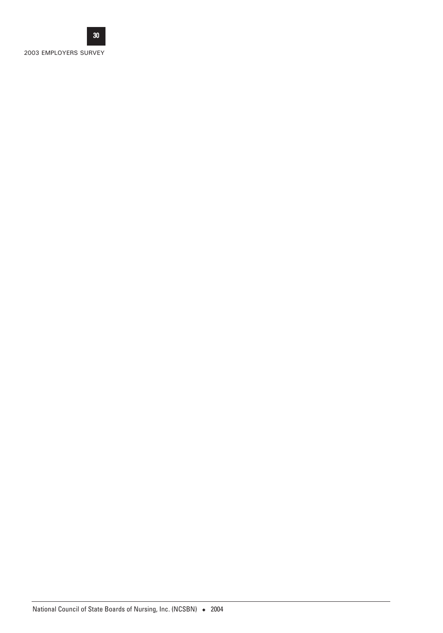![](_page_37_Picture_0.jpeg)

2003 EMPLOYERS SURVEY